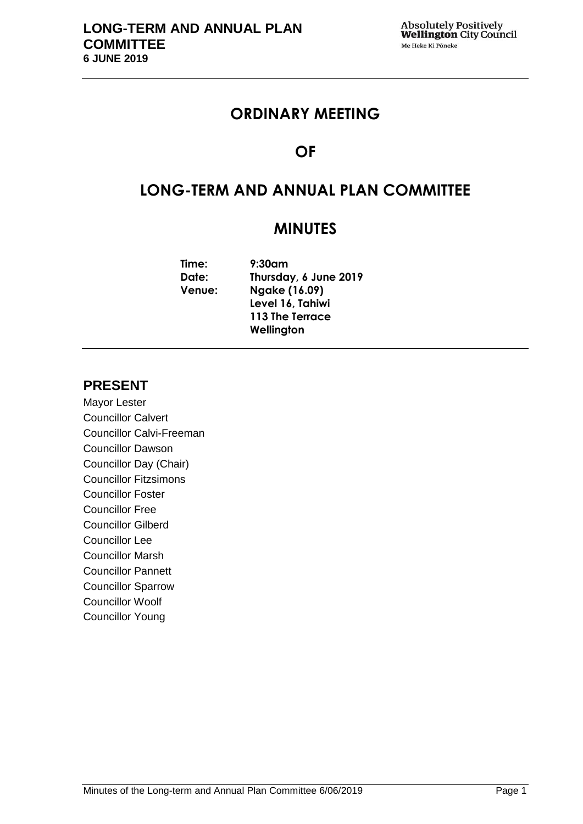## **ORDINARY MEETING**

# **OF**

# **LONG-TERM AND ANNUAL PLAN COMMITTEE**

## **MINUTES**

| Time:         | $9:30$ am             |
|---------------|-----------------------|
| Date:         | Thursday, 6 June 2019 |
| <b>Venue:</b> | <b>Ngake (16.09)</b>  |
|               | Level 16, Tahiwi      |
|               | 113 The Terrace       |
|               | Wellington            |
|               |                       |

## **PRESENT**

Mayor Lester Councillor Calvert Councillor Calvi-Freeman Councillor Dawson Councillor Day (Chair) Councillor Fitzsimons Councillor Foster Councillor Free Councillor Gilberd Councillor Lee Councillor Marsh Councillor Pannett Councillor Sparrow Councillor Woolf Councillor Young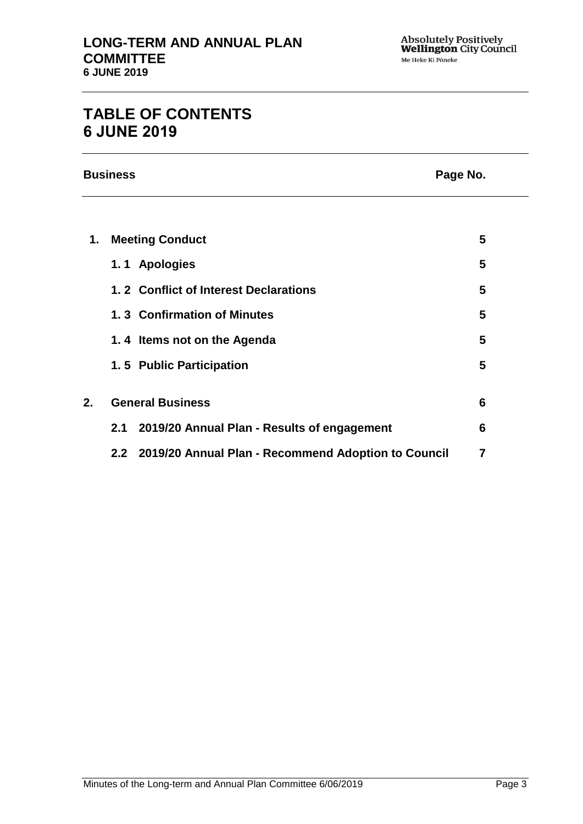# **TABLE OF CONTENTS 6 JUNE 2019**

**Business Page No.**

| 1. |     | <b>Meeting Conduct</b>                                  | 5 |
|----|-----|---------------------------------------------------------|---|
|    |     | 1.1 Apologies                                           | 5 |
|    |     | 1.2 Conflict of Interest Declarations                   | 5 |
|    |     | 1.3 Confirmation of Minutes                             | 5 |
|    |     | 1.4 Items not on the Agenda                             | 5 |
|    |     | 1.5 Public Participation                                | 5 |
|    |     |                                                         |   |
| 2. |     | <b>General Business</b>                                 | 6 |
|    | 2.1 | 2019/20 Annual Plan - Results of engagement             | 6 |
|    |     | 2.2 2019/20 Annual Plan - Recommend Adoption to Council | 7 |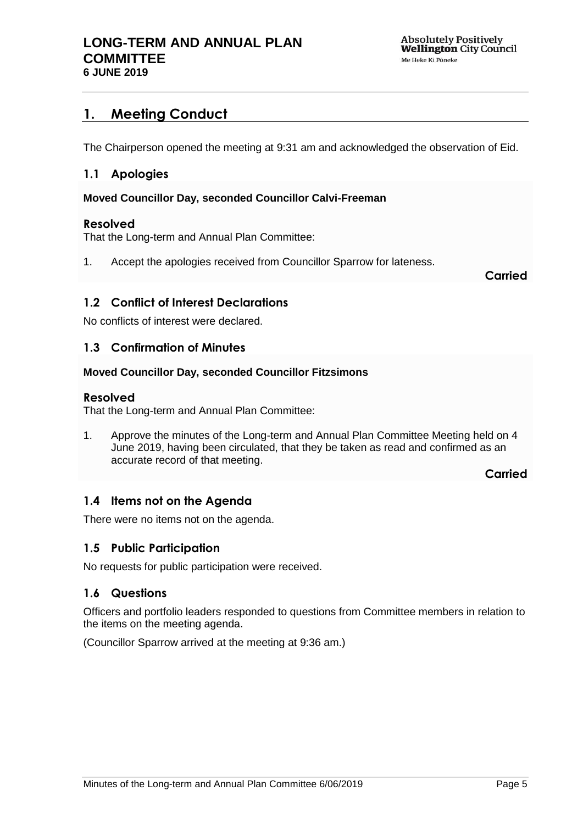## <span id="page-4-0"></span>**1. Meeting Conduct**

The Chairperson opened the meeting at 9:31 am and acknowledged the observation of Eid.

## <span id="page-4-1"></span>**1.1 Apologies**

### **Moved Councillor Day, seconded Councillor Calvi-Freeman**

### **Resolved**

That the Long-term and Annual Plan Committee:

1. Accept the apologies received from Councillor Sparrow for lateness.

**Carried**

## <span id="page-4-2"></span>**1.2 Conflict of Interest Declarations**

No conflicts of interest were declared.

## <span id="page-4-3"></span>**1.3 Confirmation of Minutes**

### **Moved Councillor Day, seconded Councillor Fitzsimons**

### **Resolved**

That the Long-term and Annual Plan Committee:

1. Approve the minutes of the Long-term and Annual Plan Committee Meeting held on 4 June 2019, having been circulated, that they be taken as read and confirmed as an accurate record of that meeting.

**Carried**

## <span id="page-4-4"></span>**1.4 Items not on the Agenda**

There were no items not on the agenda.

## **1.5 Public Participation**

No requests for public participation were received.

## **1.6 Questions**

Officers and portfolio leaders responded to questions from Committee members in relation to the items on the meeting agenda.

(Councillor Sparrow arrived at the meeting at 9:36 am.)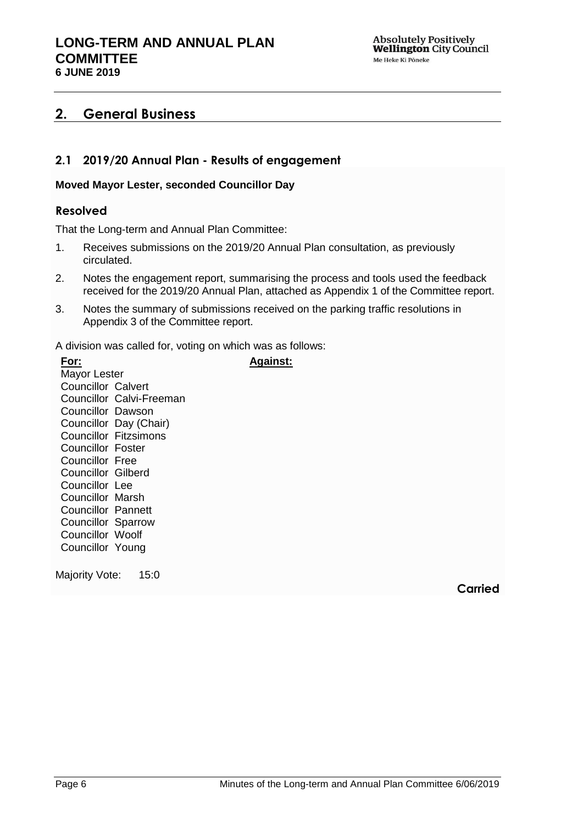## <span id="page-5-0"></span>**2. General Business**

## <span id="page-5-1"></span>**2.1 2019/20 Annual Plan - Results of engagement**

### **Moved Mayor Lester, seconded Councillor Day**

## **Resolved**

That the Long-term and Annual Plan Committee:

- 1. Receives submissions on the 2019/20 Annual Plan consultation, as previously circulated.
- 2. Notes the engagement report, summarising the process and tools used the feedback received for the 2019/20 Annual Plan, attached as Appendix 1 of the Committee report.

**Against:**

3. Notes the summary of submissions received on the parking traffic resolutions in Appendix 3 of the Committee report.

A division was called for, voting on which was as follows:

| For:                      |                              |
|---------------------------|------------------------------|
| Mayor Lester              |                              |
| <b>Councillor Calvert</b> |                              |
| Councillor                | Calvi-Freeman                |
| Councillor                | Dawson                       |
|                           | Councillor Day (Chair)       |
|                           | <b>Councillor Fitzsimons</b> |
| Councillor                | Foster                       |
| Councillor Free           |                              |
| Councillor                | Gilberd                      |
| Councillor                | Lee                          |
| Councillor Marsh          |                              |
| <b>Councillor Pannett</b> |                              |
| <b>Councillor Sparrow</b> |                              |
| Councillor Woolf          |                              |
| Councillor Young          |                              |
|                           |                              |

Majority Vote: 15:0

**Carried**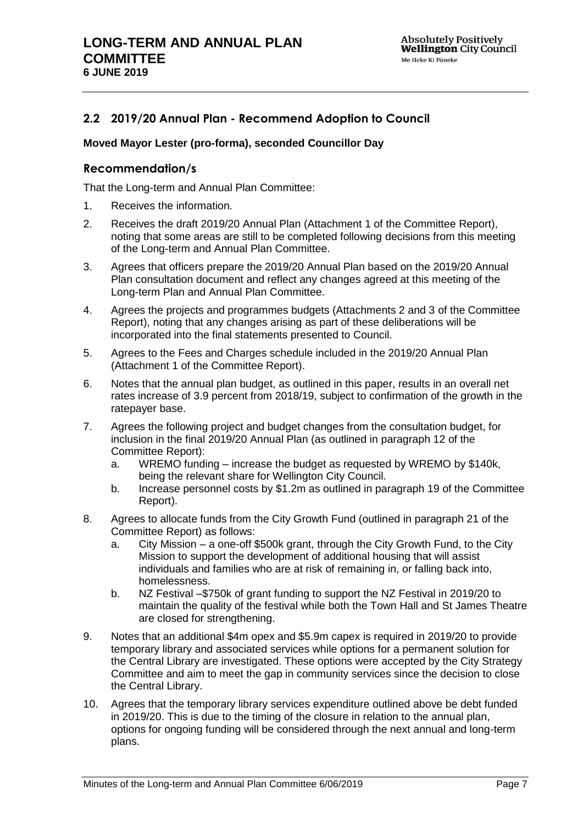## <span id="page-6-0"></span>**2.2 2019/20 Annual Plan - Recommend Adoption to Council**

#### **Moved Mayor Lester (pro-forma), seconded Councillor Day**

## **Recommendation/s**

That the Long-term and Annual Plan Committee:

- 1. Receives the information.
- 2. Receives the draft 2019/20 Annual Plan (Attachment 1 of the Committee Report), noting that some areas are still to be completed following decisions from this meeting of the Long-term and Annual Plan Committee.
- 3. Agrees that officers prepare the 2019/20 Annual Plan based on the 2019/20 Annual Plan consultation document and reflect any changes agreed at this meeting of the Long-term Plan and Annual Plan Committee.
- 4. Agrees the projects and programmes budgets (Attachments 2 and 3 of the Committee Report), noting that any changes arising as part of these deliberations will be incorporated into the final statements presented to Council.
- 5. Agrees to the Fees and Charges schedule included in the 2019/20 Annual Plan (Attachment 1 of the Committee Report).
- 6. Notes that the annual plan budget, as outlined in this paper, results in an overall net rates increase of 3.9 percent from 2018/19, subject to confirmation of the growth in the ratepayer base.
- 7. Agrees the following project and budget changes from the consultation budget, for inclusion in the final 2019/20 Annual Plan (as outlined in paragraph 12 of the Committee Report):
	- a. WREMO funding increase the budget as requested by WREMO by \$140k, being the relevant share for Wellington City Council.
	- b. Increase personnel costs by \$1.2m as outlined in paragraph 19 of the Committee Report).
- 8. Agrees to allocate funds from the City Growth Fund (outlined in paragraph 21 of the Committee Report) as follows:
	- a. City Mission a one-off \$500k grant, through the City Growth Fund, to the City Mission to support the development of additional housing that will assist individuals and families who are at risk of remaining in, or falling back into, homelessness.
	- b. NZ Festival –\$750k of grant funding to support the NZ Festival in 2019/20 to maintain the quality of the festival while both the Town Hall and St James Theatre are closed for strengthening.
- 9. Notes that an additional \$4m opex and \$5.9m capex is required in 2019/20 to provide temporary library and associated services while options for a permanent solution for the Central Library are investigated. These options were accepted by the City Strategy Committee and aim to meet the gap in community services since the decision to close the Central Library.
- 10. Agrees that the temporary library services expenditure outlined above be debt funded in 2019/20. This is due to the timing of the closure in relation to the annual plan, options for ongoing funding will be considered through the next annual and long-term plans.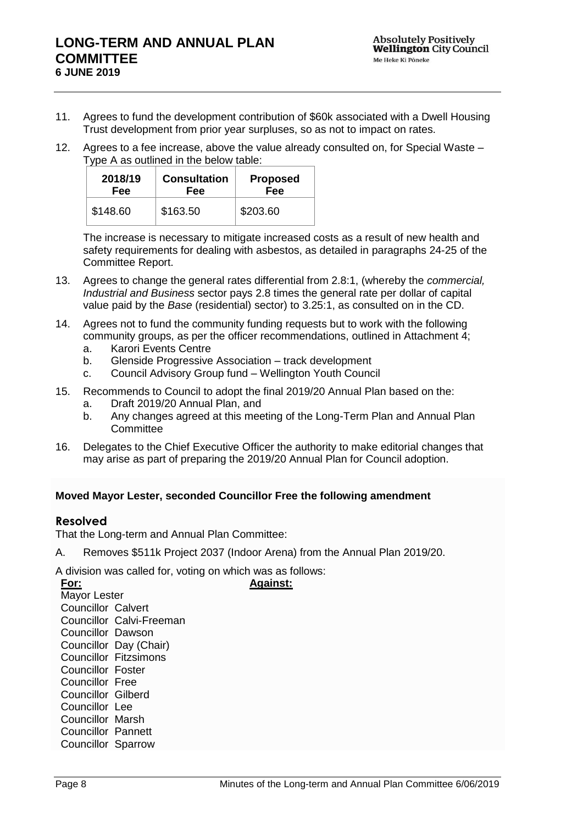- 11. Agrees to fund the development contribution of \$60k associated with a Dwell Housing Trust development from prior year surpluses, so as not to impact on rates.
- 12. Agrees to a fee increase, above the value already consulted on, for Special Waste Type A as outlined in the below table:

| 2018/19  | <b>Consultation</b> | <b>Proposed</b> |
|----------|---------------------|-----------------|
| Fee      | <b>Fee</b>          | Fee             |
| \$148.60 | \$163.50            | \$203.60        |

The increase is necessary to mitigate increased costs as a result of new health and safety requirements for dealing with asbestos, as detailed in paragraphs 24-25 of the Committee Report.

- 13. Agrees to change the general rates differential from 2.8:1, (whereby the *commercial, Industrial and Business* sector pays 2.8 times the general rate per dollar of capital value paid by the *Base* (residential) sector) to 3.25:1, as consulted on in the CD.
- 14. Agrees not to fund the community funding requests but to work with the following community groups, as per the officer recommendations, outlined in Attachment 4;
	- a. Karori Events Centre
	- b. Glenside Progressive Association track development
	- c. Council Advisory Group fund Wellington Youth Council
- 15. Recommends to Council to adopt the final 2019/20 Annual Plan based on the:
	- a. Draft 2019/20 Annual Plan, and
	- b. Any changes agreed at this meeting of the Long-Term Plan and Annual Plan **Committee**
- 16. Delegates to the Chief Executive Officer the authority to make editorial changes that may arise as part of preparing the 2019/20 Annual Plan for Council adoption.

### **Moved Mayor Lester, seconded Councillor Free the following amendment**

### **Resolved**

That the Long-term and Annual Plan Committee:

A. Removes \$511k Project 2037 (Indoor Arena) from the Annual Plan 2019/20.

**Against:**

A division was called for, voting on which was as follows:

**For:** Mayor Lester Councillor Calvert Councillor Calvi-Freeman Councillor Dawson Councillor Day (Chair) Councillor Fitzsimons Councillor Foster Councillor Free Councillor Gilberd Councillor Lee Councillor Marsh Councillor Pannett Councillor Sparrow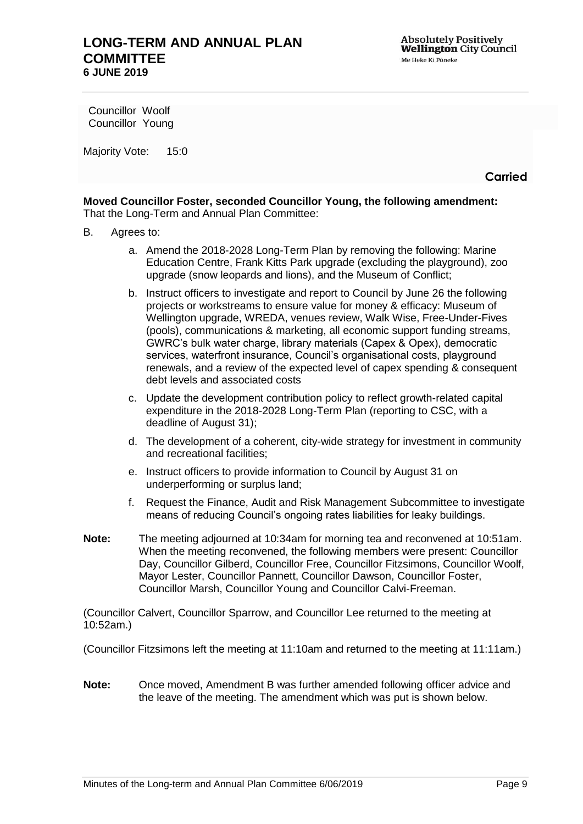Councillor Woolf Councillor Young

Majority Vote: 15:0

**Carried**

**Moved Councillor Foster, seconded Councillor Young, the following amendment:** That the Long-Term and Annual Plan Committee:

- B. Agrees to:
	- a. Amend the 2018-2028 Long-Term Plan by removing the following: Marine Education Centre, Frank Kitts Park upgrade (excluding the playground), zoo upgrade (snow leopards and lions), and the Museum of Conflict;
	- b. Instruct officers to investigate and report to Council by June 26 the following projects or workstreams to ensure value for money & efficacy: Museum of Wellington upgrade, WREDA, venues review, Walk Wise, Free-Under-Fives (pools), communications & marketing, all economic support funding streams, GWRC's bulk water charge, library materials (Capex & Opex), democratic services, waterfront insurance, Council's organisational costs, playground renewals, and a review of the expected level of capex spending & consequent debt levels and associated costs
	- c. Update the development contribution policy to reflect growth-related capital expenditure in the 2018-2028 Long-Term Plan (reporting to CSC, with a deadline of August 31);
	- d. The development of a coherent, city-wide strategy for investment in community and recreational facilities;
	- e. Instruct officers to provide information to Council by August 31 on underperforming or surplus land;
	- f. Request the Finance, Audit and Risk Management Subcommittee to investigate means of reducing Council's ongoing rates liabilities for leaky buildings.
- **Note:** The meeting adjourned at 10:34am for morning tea and reconvened at 10:51am. When the meeting reconvened, the following members were present: Councillor Day, Councillor Gilberd, Councillor Free, Councillor Fitzsimons, Councillor Woolf, Mayor Lester, Councillor Pannett, Councillor Dawson, Councillor Foster, Councillor Marsh, Councillor Young and Councillor Calvi-Freeman.

(Councillor Calvert, Councillor Sparrow, and Councillor Lee returned to the meeting at 10:52am.)

(Councillor Fitzsimons left the meeting at 11:10am and returned to the meeting at 11:11am.)

**Note:** Once moved, Amendment B was further amended following officer advice and the leave of the meeting. The amendment which was put is shown below.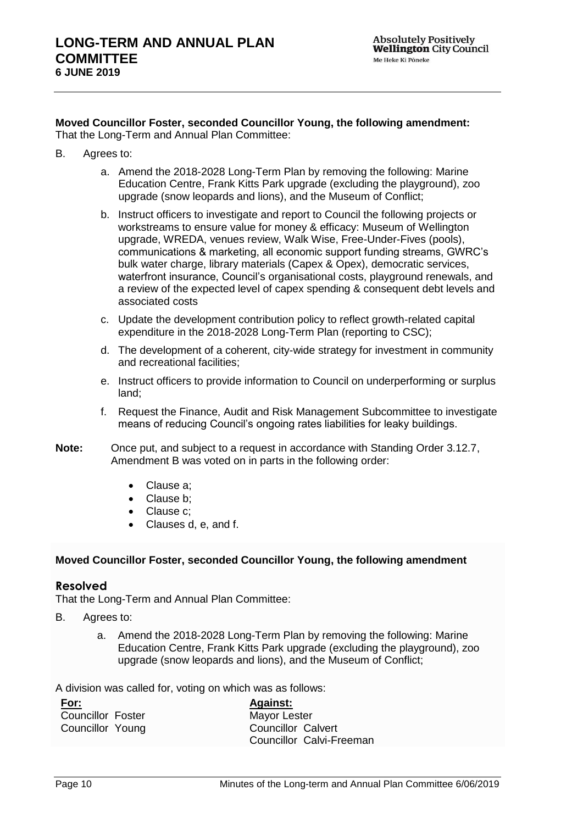#### **Moved Councillor Foster, seconded Councillor Young, the following amendment:** That the Long-Term and Annual Plan Committee:

- B. Agrees to:
	- a. Amend the 2018-2028 Long-Term Plan by removing the following: Marine Education Centre, Frank Kitts Park upgrade (excluding the playground), zoo upgrade (snow leopards and lions), and the Museum of Conflict;
	- b. Instruct officers to investigate and report to Council the following projects or workstreams to ensure value for money & efficacy: Museum of Wellington upgrade, WREDA, venues review, Walk Wise, Free-Under-Fives (pools), communications & marketing, all economic support funding streams, GWRC's bulk water charge, library materials (Capex & Opex), democratic services, waterfront insurance, Council's organisational costs, playground renewals, and a review of the expected level of capex spending & consequent debt levels and associated costs
	- c. Update the development contribution policy to reflect growth-related capital expenditure in the 2018-2028 Long-Term Plan (reporting to CSC);
	- d. The development of a coherent, city-wide strategy for investment in community and recreational facilities;
	- e. Instruct officers to provide information to Council on underperforming or surplus land;
	- f. Request the Finance, Audit and Risk Management Subcommittee to investigate means of reducing Council's ongoing rates liabilities for leaky buildings.
- **Note:** Once put, and subject to a request in accordance with Standing Order 3.12.7, Amendment B was voted on in parts in the following order:
	- Clause a:
	- Clause b:
	- Clause c;
	- Clauses d, e, and f.

### **Moved Councillor Foster, seconded Councillor Young, the following amendment**

### **Resolved**

That the Long-Term and Annual Plan Committee:

- B. Agrees to:
	- a. Amend the 2018-2028 Long-Term Plan by removing the following: Marine Education Centre, Frank Kitts Park upgrade (excluding the playground), zoo upgrade (snow leopards and lions), and the Museum of Conflict;

A division was called for, voting on which was as follows:

| For:                     | <b>Against:</b>           |
|--------------------------|---------------------------|
| <b>Councillor Foster</b> | <b>Mayor Lester</b>       |
| Councillor Young         | <b>Councillor Calvert</b> |
|                          | Councillor Calvi-Freeman  |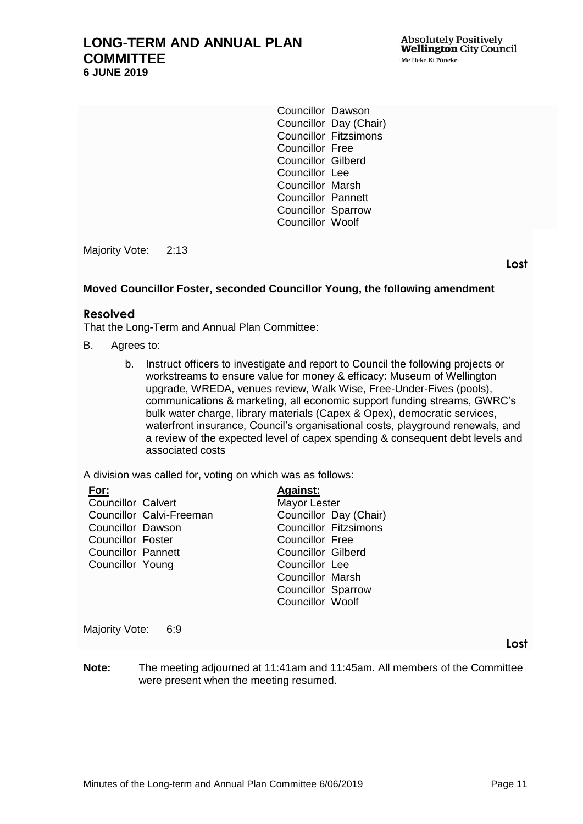## **LONG-TERM AND ANNUAL PLAN COMMITTEE 6 JUNE 2019**

Councillor Dawson Councillor Day (Chair) Councillor Fitzsimons Councillor Free Councillor Gilberd Councillor Lee Councillor Marsh Councillor Pannett Councillor Sparrow Councillor Woolf

Majority Vote: 2:13

**Lost**

## **Moved Councillor Foster, seconded Councillor Young, the following amendment**

#### **Resolved**

That the Long-Term and Annual Plan Committee:

- B. Agrees to:
	- b. Instruct officers to investigate and report to Council the following projects or workstreams to ensure value for money & efficacy: Museum of Wellington upgrade, WREDA, venues review, Walk Wise, Free-Under-Fives (pools), communications & marketing, all economic support funding streams, GWRC's bulk water charge, library materials (Capex & Opex), democratic services, waterfront insurance, Council's organisational costs, playground renewals, and a review of the expected level of capex spending & consequent debt levels and associated costs

A division was called for, voting on which was as follows:

| For:                      |                          | <b>Against:</b>           |                              |
|---------------------------|--------------------------|---------------------------|------------------------------|
| <b>Councillor Calvert</b> |                          | Mayor Lester              |                              |
|                           | Councillor Calvi-Freeman |                           | Councillor Day (Chair)       |
| Councillor Dawson         |                          |                           | <b>Councillor Fitzsimons</b> |
| <b>Councillor Foster</b>  |                          | Councillor Free           |                              |
| <b>Councillor Pannett</b> |                          | <b>Councillor Gilberd</b> |                              |
| Councillor Young          |                          | Councillor Lee            |                              |
|                           |                          | Councillor Marsh          |                              |
|                           |                          | <b>Councillor Sparrow</b> |                              |
|                           |                          | <b>Councillor Woolf</b>   |                              |
|                           |                          |                           |                              |

Majority Vote: 6:9

**Note:** The meeting adjourned at 11:41am and 11:45am. All members of the Committee were present when the meeting resumed.

**Lost**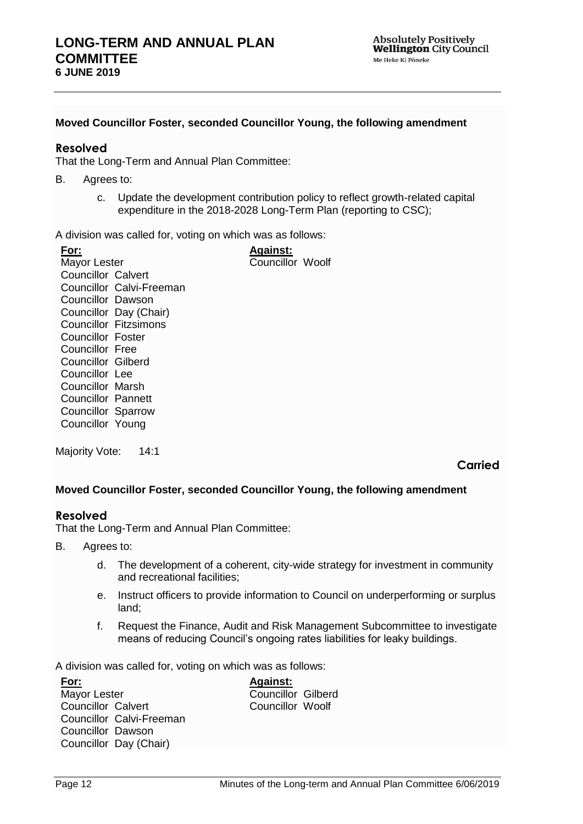## **Moved Councillor Foster, seconded Councillor Young, the following amendment**

## **Resolved**

That the Long-Term and Annual Plan Committee:

- B. Agrees to:
	- c. Update the development contribution policy to reflect growth-related capital expenditure in the 2018-2028 Long-Term Plan (reporting to CSC);

A division was called for, voting on which was as follows:

| For:                      |                              | <b>Against:</b>         |  |
|---------------------------|------------------------------|-------------------------|--|
| Mayor Lester              |                              | <b>Councillor Woolf</b> |  |
| Councillor Calvert        |                              |                         |  |
|                           | Councillor Calvi-Freeman     |                         |  |
| Councillor Dawson         |                              |                         |  |
|                           | Councillor Day (Chair)       |                         |  |
|                           | <b>Councillor Fitzsimons</b> |                         |  |
| Councillor Foster         |                              |                         |  |
| Councillor Free           |                              |                         |  |
| Councillor Gilberd        |                              |                         |  |
| Councillor Lee            |                              |                         |  |
| Councillor Marsh          |                              |                         |  |
| Councillor Pannett        |                              |                         |  |
| <b>Councillor Sparrow</b> |                              |                         |  |
| Councillor Young          |                              |                         |  |

Majority Vote: 14:1

**Carried**

### **Moved Councillor Foster, seconded Councillor Young, the following amendment**

### **Resolved**

That the Long-Term and Annual Plan Committee:

- B. Agrees to:
	- d. The development of a coherent, city-wide strategy for investment in community and recreational facilities;
	- e. Instruct officers to provide information to Council on underperforming or surplus land;
	- f. Request the Finance, Audit and Risk Management Subcommittee to investigate means of reducing Council's ongoing rates liabilities for leaky buildings.

A division was called for, voting on which was as follows:

| <b>Against:</b>           |
|---------------------------|
| <b>Councillor Gilberd</b> |
| <b>Councillor Woolf</b>   |
|                           |
|                           |
|                           |
|                           |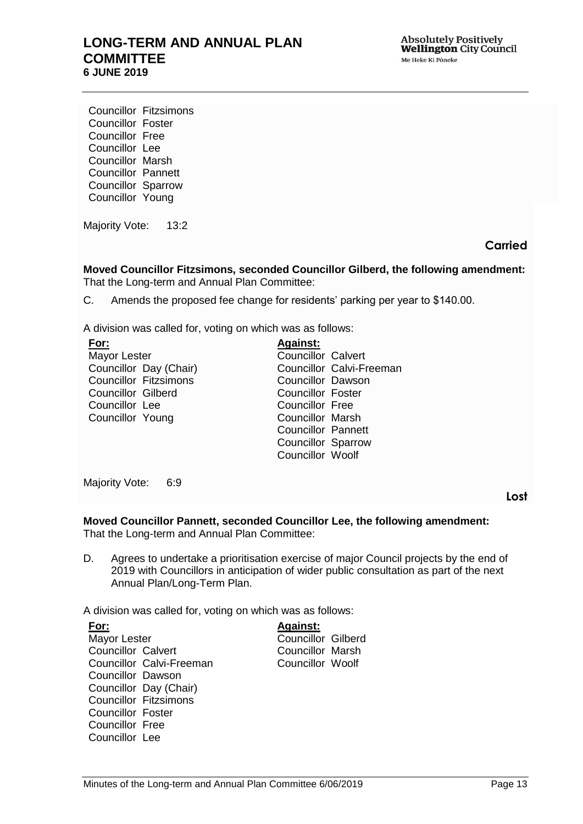## **LONG-TERM AND ANNUAL PLAN COMMITTEE 6 JUNE 2019**

Councillor Fitzsimons Councillor Foster Councillor Free Councillor Lee Councillor Marsh Councillor Pannett Councillor Sparrow Councillor Young

Majority Vote: 13:2

**Carried**

**Moved Councillor Fitzsimons, seconded Councillor Gilberd, the following amendment:** That the Long-term and Annual Plan Committee:

C. Amends the proposed fee change for residents' parking per year to \$140.00.

A division was called for, voting on which was as follows:

| For:                         | <b>Against:</b>           |
|------------------------------|---------------------------|
| Mayor Lester                 | <b>Councillor Calvert</b> |
| Councillor Day (Chair)       | Councillor Calvi-Freeman  |
| <b>Councillor Fitzsimons</b> | <b>Councillor Dawson</b>  |
| <b>Councillor Gilberd</b>    | <b>Councillor Foster</b>  |
| Councillor Lee               | Councillor Free           |
| Councillor Young             | <b>Councillor Marsh</b>   |
|                              | <b>Councillor Pannett</b> |
|                              | <b>Councillor Sparrow</b> |
|                              | Councillor Woolf          |
|                              |                           |

Majority Vote: 6:9

**Lost**

**Moved Councillor Pannett, seconded Councillor Lee, the following amendment:** That the Long-term and Annual Plan Committee:

D. Agrees to undertake a prioritisation exercise of major Council projects by the end of 2019 with Councillors in anticipation of wider public consultation as part of the next Annual Plan/Long-Term Plan.

A division was called for, voting on which was as follows:

| For:                         |                          | <b>Against:</b>           |  |
|------------------------------|--------------------------|---------------------------|--|
| Mayor Lester                 |                          | <b>Councillor Gilberd</b> |  |
| <b>Councillor Calvert</b>    |                          | <b>Councillor Marsh</b>   |  |
|                              | Councillor Calvi-Freeman | Councillor Woolf          |  |
| <b>Councillor Dawson</b>     |                          |                           |  |
| Councillor Day (Chair)       |                          |                           |  |
| <b>Councillor Fitzsimons</b> |                          |                           |  |
| Councillor Foster            |                          |                           |  |
| <b>Councillor Free</b>       |                          |                           |  |
| Councillor Lee               |                          |                           |  |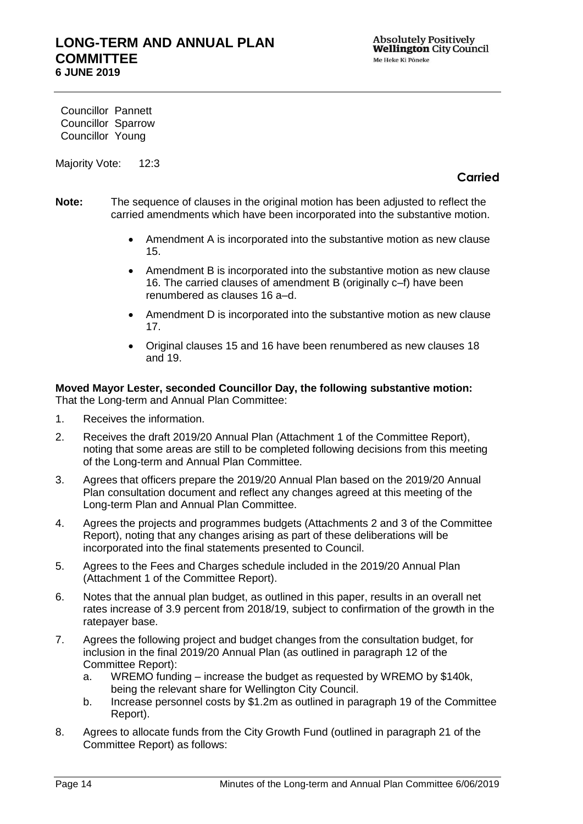Councillor Pannett Councillor Sparrow Councillor Young

Majority Vote: 12:3

## **Carried**

- **Note:** The sequence of clauses in the original motion has been adjusted to reflect the carried amendments which have been incorporated into the substantive motion.
	- Amendment A is incorporated into the substantive motion as new clause 15.
	- Amendment B is incorporated into the substantive motion as new clause 16. The carried clauses of amendment B (originally c–f) have been renumbered as clauses 16 a–d.
	- Amendment D is incorporated into the substantive motion as new clause 17.
	- Original clauses 15 and 16 have been renumbered as new clauses 18 and 19.

**Moved Mayor Lester, seconded Councillor Day, the following substantive motion:** That the Long-term and Annual Plan Committee:

- 1. Receives the information.
- 2. Receives the draft 2019/20 Annual Plan (Attachment 1 of the Committee Report), noting that some areas are still to be completed following decisions from this meeting of the Long-term and Annual Plan Committee.
- 3. Agrees that officers prepare the 2019/20 Annual Plan based on the 2019/20 Annual Plan consultation document and reflect any changes agreed at this meeting of the Long-term Plan and Annual Plan Committee.
- 4. Agrees the projects and programmes budgets (Attachments 2 and 3 of the Committee Report), noting that any changes arising as part of these deliberations will be incorporated into the final statements presented to Council.
- 5. Agrees to the Fees and Charges schedule included in the 2019/20 Annual Plan (Attachment 1 of the Committee Report).
- 6. Notes that the annual plan budget, as outlined in this paper, results in an overall net rates increase of 3.9 percent from 2018/19, subject to confirmation of the growth in the ratepayer base.
- 7. Agrees the following project and budget changes from the consultation budget, for inclusion in the final 2019/20 Annual Plan (as outlined in paragraph 12 of the Committee Report):
	- a. WREMO funding increase the budget as requested by WREMO by \$140k, being the relevant share for Wellington City Council.
	- b. Increase personnel costs by \$1.2m as outlined in paragraph 19 of the Committee Report).
- 8. Agrees to allocate funds from the City Growth Fund (outlined in paragraph 21 of the Committee Report) as follows: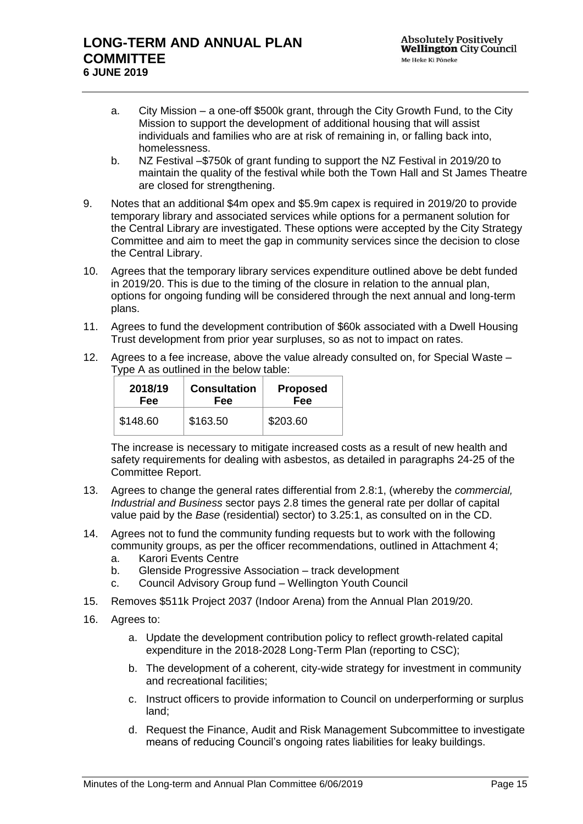- a. City Mission a one-off \$500k grant, through the City Growth Fund, to the City Mission to support the development of additional housing that will assist individuals and families who are at risk of remaining in, or falling back into, homelessness.
- b. NZ Festival –\$750k of grant funding to support the NZ Festival in 2019/20 to maintain the quality of the festival while both the Town Hall and St James Theatre are closed for strengthening.
- 9. Notes that an additional \$4m opex and \$5.9m capex is required in 2019/20 to provide temporary library and associated services while options for a permanent solution for the Central Library are investigated. These options were accepted by the City Strategy Committee and aim to meet the gap in community services since the decision to close the Central Library.
- 10. Agrees that the temporary library services expenditure outlined above be debt funded in 2019/20. This is due to the timing of the closure in relation to the annual plan, options for ongoing funding will be considered through the next annual and long-term plans.
- 11. Agrees to fund the development contribution of \$60k associated with a Dwell Housing Trust development from prior year surpluses, so as not to impact on rates.
- 12. Agrees to a fee increase, above the value already consulted on, for Special Waste Type A as outlined in the below table:

| 2018/19  | <b>Consultation</b> | <b>Proposed</b> |
|----------|---------------------|-----------------|
| Fee      | Fee                 | Fee             |
| \$148.60 | \$163.50            | \$203.60        |

The increase is necessary to mitigate increased costs as a result of new health and safety requirements for dealing with asbestos, as detailed in paragraphs 24-25 of the Committee Report.

- 13. Agrees to change the general rates differential from 2.8:1, (whereby the *commercial, Industrial and Business* sector pays 2.8 times the general rate per dollar of capital value paid by the *Base* (residential) sector) to 3.25:1, as consulted on in the CD.
- 14. Agrees not to fund the community funding requests but to work with the following community groups, as per the officer recommendations, outlined in Attachment 4;
	- a. Karori Events Centre
	- b. Glenside Progressive Association track development
	- c. Council Advisory Group fund Wellington Youth Council
- 15. Removes \$511k Project 2037 (Indoor Arena) from the Annual Plan 2019/20.
- 16. Agrees to:
	- a. Update the development contribution policy to reflect growth-related capital expenditure in the 2018-2028 Long-Term Plan (reporting to CSC);
	- b. The development of a coherent, city-wide strategy for investment in community and recreational facilities;
	- c. Instruct officers to provide information to Council on underperforming or surplus land;
	- d. Request the Finance, Audit and Risk Management Subcommittee to investigate means of reducing Council's ongoing rates liabilities for leaky buildings.